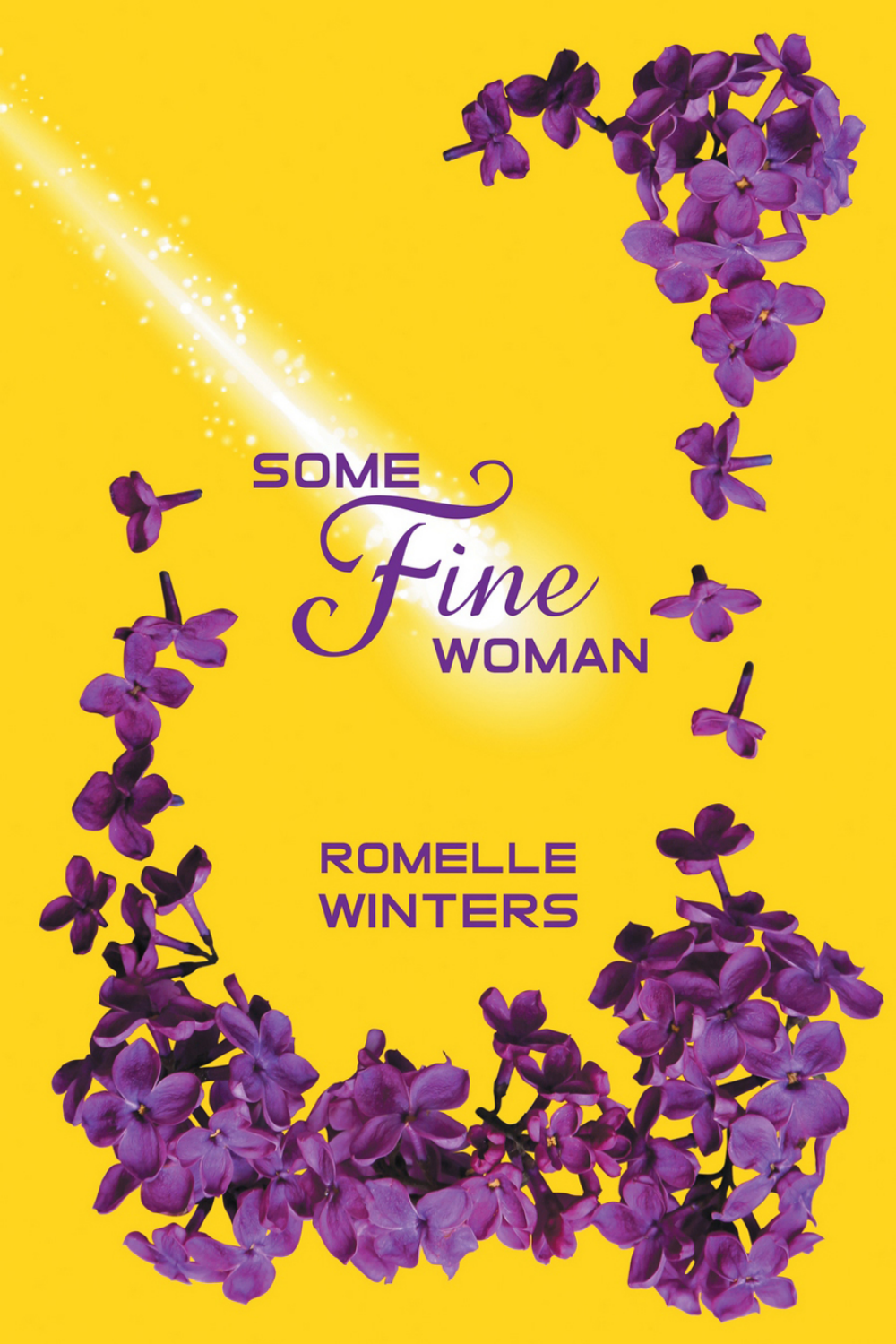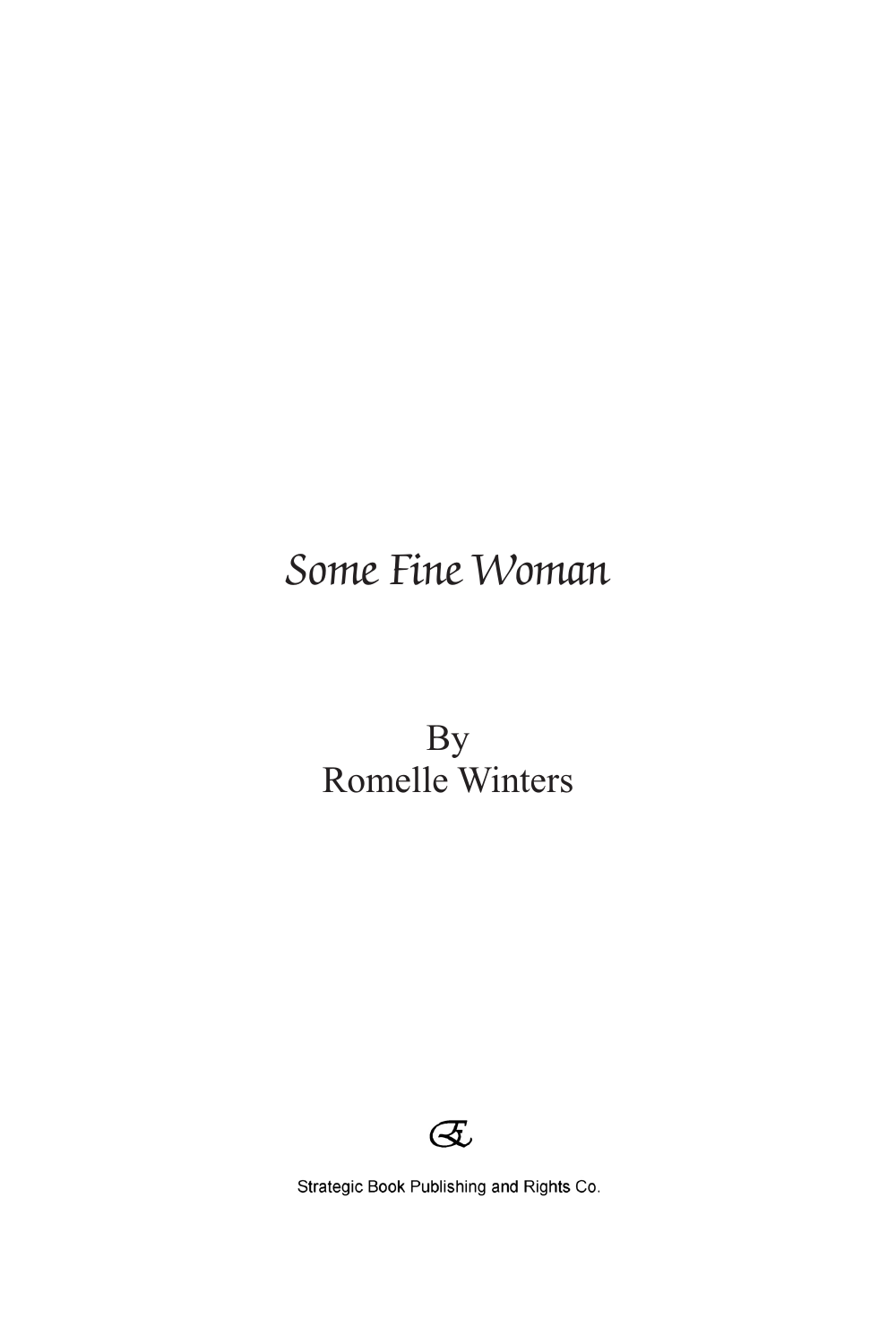### Some Fine Woman

By Romelle Winters



Strategic Book Publishing and Rights Co.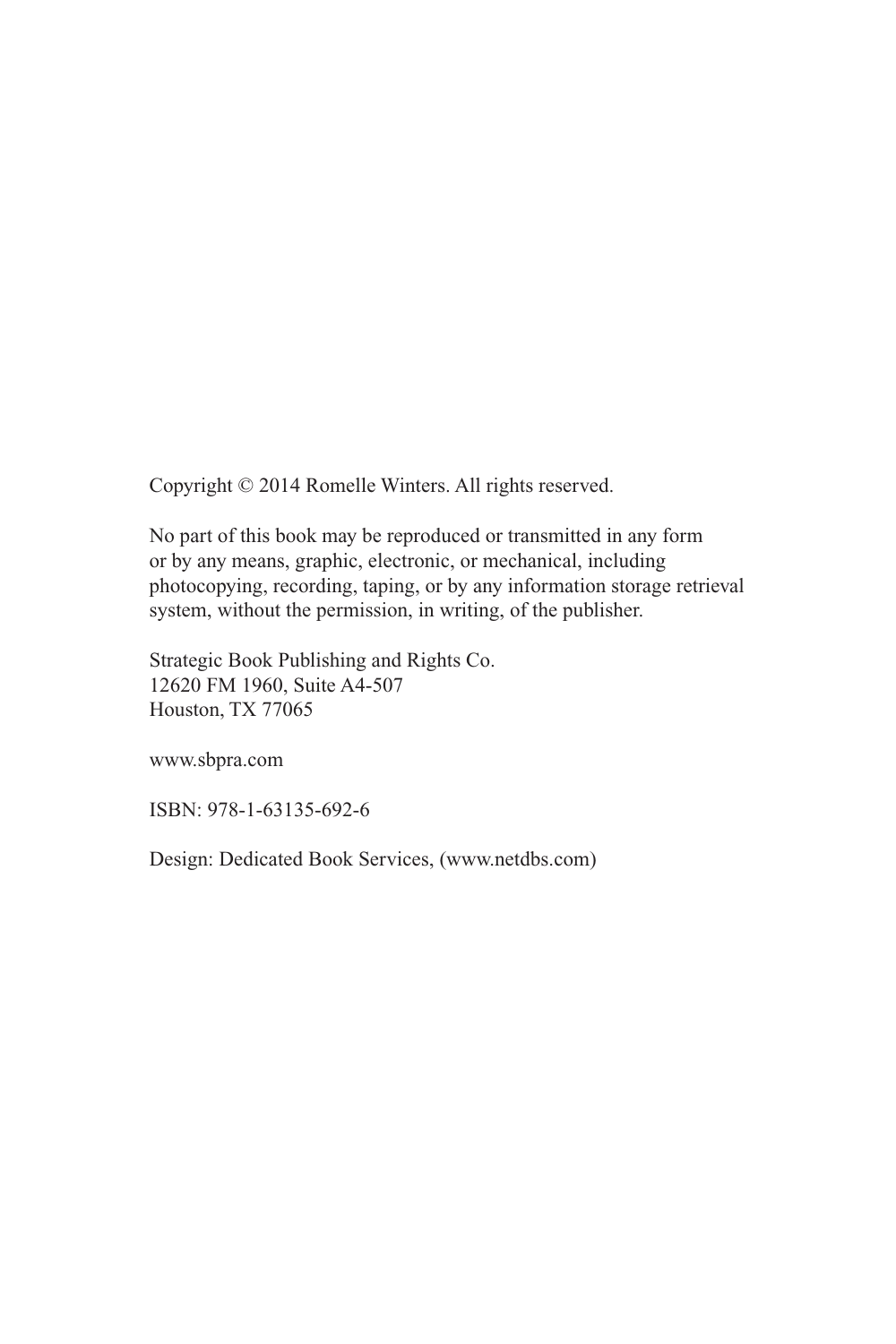Copyright © 2014 Romelle Winters. All rights reserved.

No part of this book may be reproduced or transmitted in any form or by any means, graphic, electronic, or mechanical, including photocopying, recording, taping, or by any information storage retrieval system, without the permission, in writing, of the publisher.

Strategic Book Publishing and Rights Co. 12620 FM 1960, Suite A4-507 Houston, TX 77065

www.sbpra.com

ISBN: 978-1-63135-692-6

Design: Dedicated Book Services, (www.netdbs.com)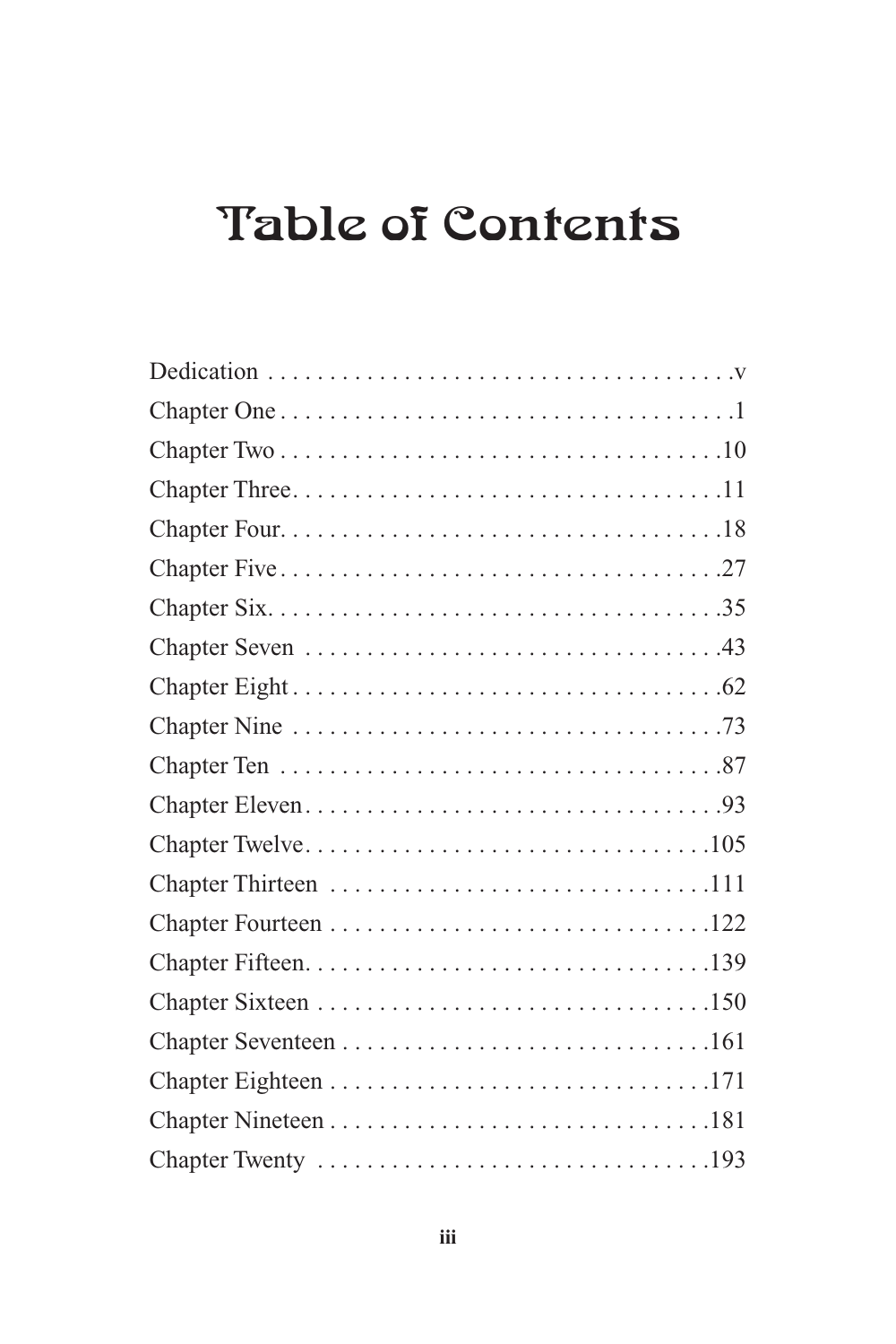# Table of Contents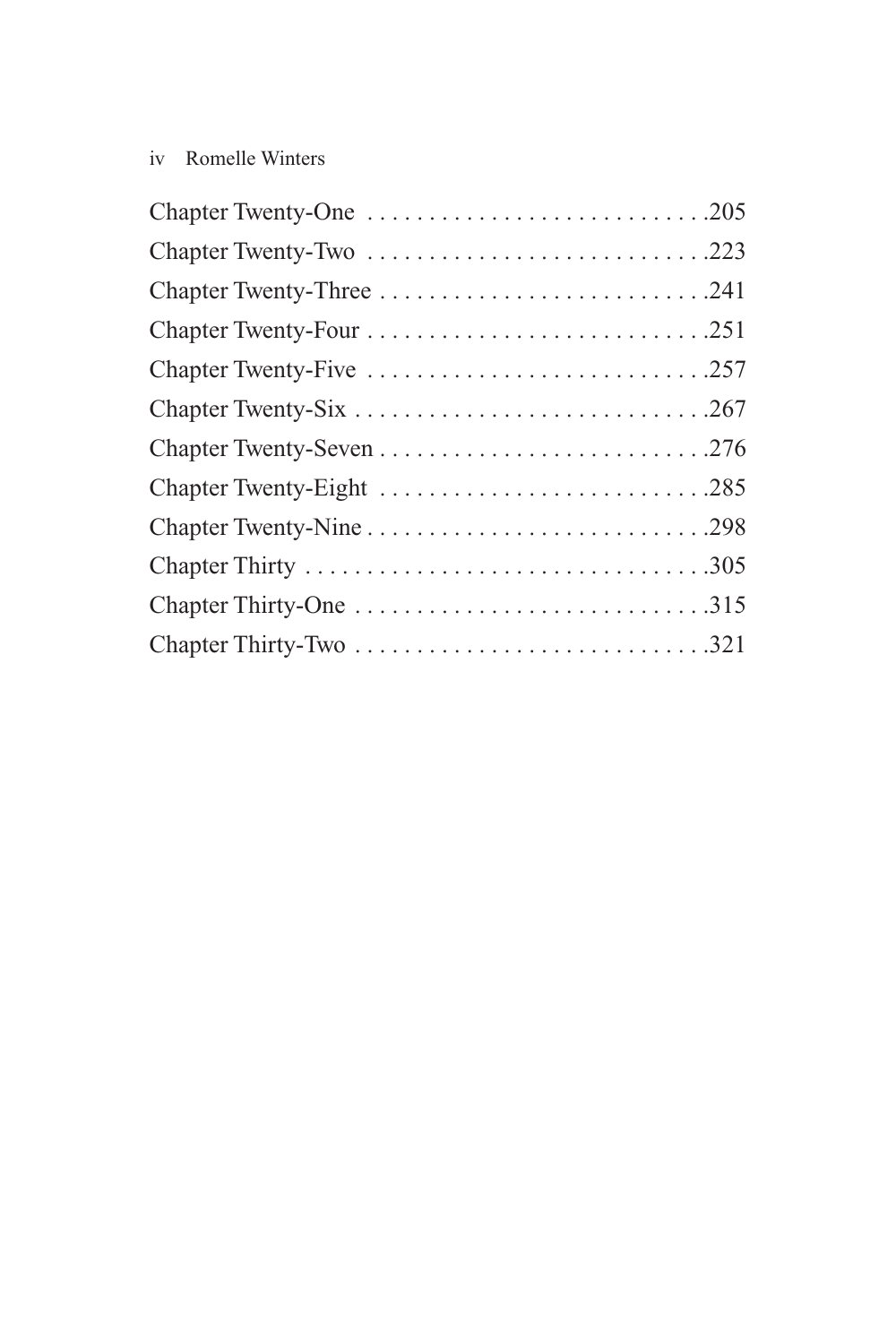### iv Romelle Winters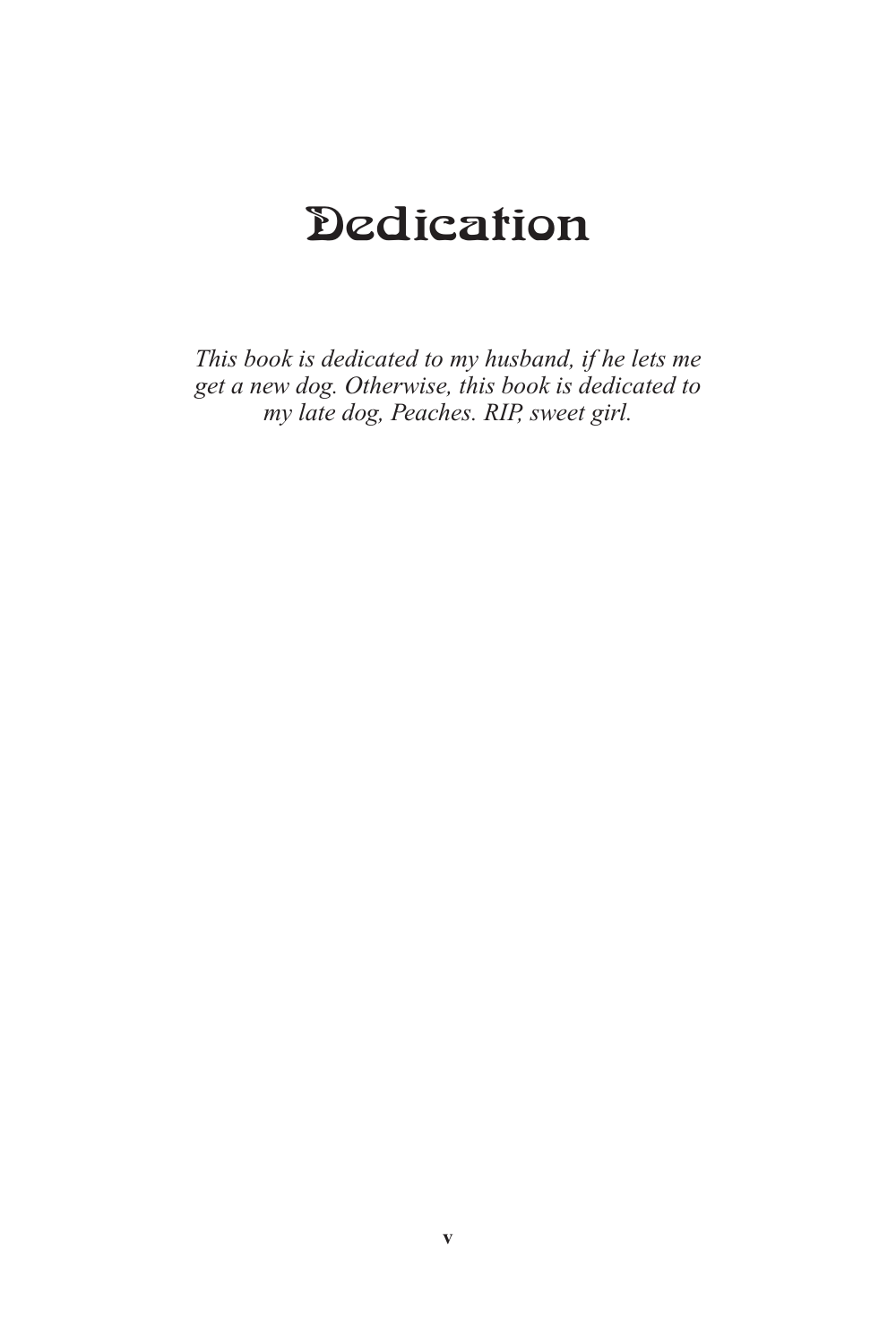# **Dedication**

*This book is dedicated to my husband, if he lets me get a new dog. Otherwise, this book is dedicated to my late dog, Peaches. RIP, sweet girl.*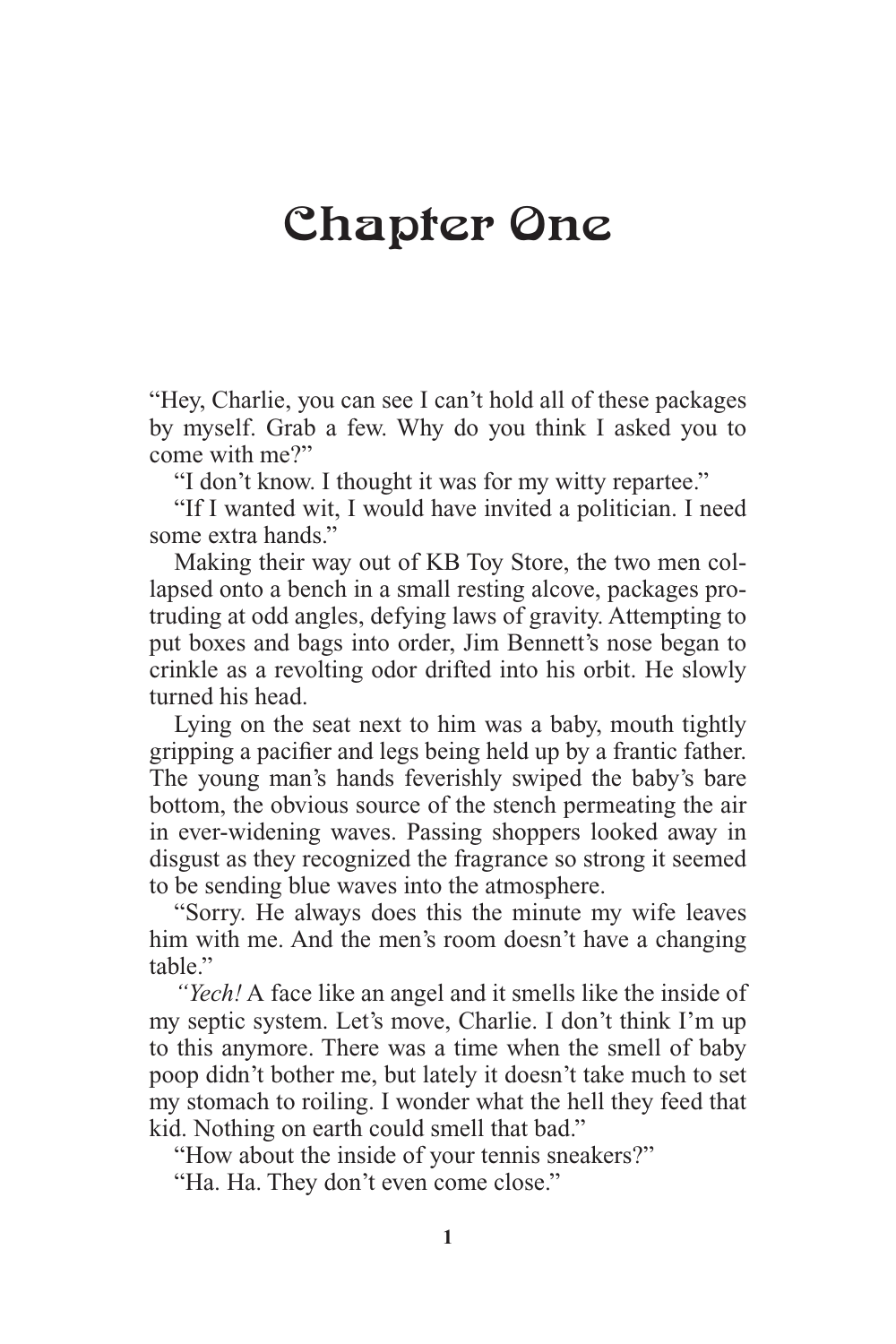## Chapter One

"Hey, Charlie, you can see I can't hold all of these packages by myself. Grab a few. Why do you think I asked you to come with me?"

"I don't know. I thought it was for my witty repartee."

"If I wanted wit, I would have invited a politician. I need some extra hands."

Making their way out of KB Toy Store, the two men collapsed onto a bench in a small resting alcove, packages protruding at odd angles, defying laws of gravity. Attempting to put boxes and bags into order, Jim Bennett's nose began to crinkle as a revolting odor drifted into his orbit. He slowly turned his head.

Lying on the seat next to him was a baby, mouth tightly gripping a pacifier and legs being held up by a frantic father. The young man's hands feverishly swiped the baby's bare bottom, the obvious source of the stench permeating the air in ever-widening waves. Passing shoppers looked away in disgust as they recognized the fragrance so strong it seemed to be sending blue waves into the atmosphere.

"Sorry. He always does this the minute my wife leaves him with me. And the men's room doesn't have a changing table."

*"Yech!* A face like an angel and it smells like the inside of my septic system. Let's move, Charlie. I don't think I'm up to this anymore. There was a time when the smell of baby poop didn't bother me, but lately it doesn't take much to set my stomach to roiling. I wonder what the hell they feed that kid. Nothing on earth could smell that bad."

"How about the inside of your tennis sneakers?"

"Ha. Ha. They don't even come close."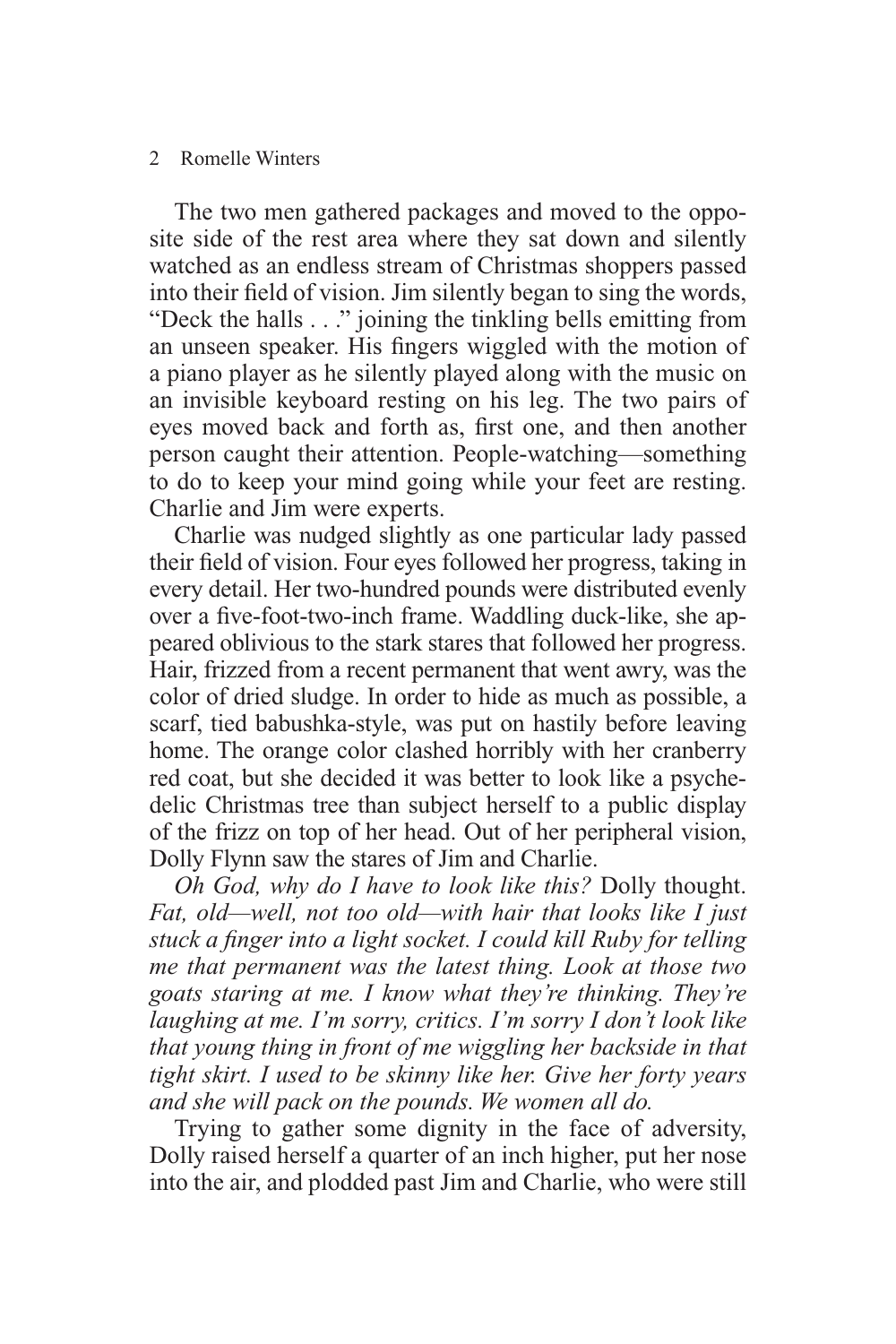#### 2 Romelle Winters

The two men gathered packages and moved to the opposite side of the rest area where they sat down and silently watched as an endless stream of Christmas shoppers passed into their field of vision. Jim silently began to sing the words, "Deck the halls . . ." joining the tinkling bells emitting from an unseen speaker. His fingers wiggled with the motion of a piano player as he silently played along with the music on an invisible keyboard resting on his leg. The two pairs of eyes moved back and forth as, first one, and then another person caught their attention. People-watching—something to do to keep your mind going while your feet are resting. Charlie and Jim were experts.

Charlie was nudged slightly as one particular lady passed their field of vision. Four eyes followed her progress, taking in every detail. Her two-hundred pounds were distributed evenly over a five-foot-two-inch frame. Waddling duck-like, she appeared oblivious to the stark stares that followed her progress. Hair, frizzed from a recent permanent that went awry, was the color of dried sludge. In order to hide as much as possible, a scarf, tied babushka-style, was put on hastily before leaving home. The orange color clashed horribly with her cranberry red coat, but she decided it was better to look like a psychedelic Christmas tree than subject herself to a public display of the frizz on top of her head. Out of her peripheral vision, Dolly Flynn saw the stares of Jim and Charlie.

*Oh God, why do I have to look like this?* Dolly thought. *Fat, old—well, not too old—with hair that looks like I just*  stuck a finger into a light socket. I could kill Ruby for telling *me that permanent was the latest thing. Look at those two goats staring at me. I know what they're thinking. They're laughing at me. I'm sorry, critics. I'm sorry I don't look like that young thing in front of me wiggling her backside in that tight skirt. I used to be skinny like her. Give her forty years and she will pack on the pounds. We women all do.*

Trying to gather some dignity in the face of adversity, Dolly raised herself a quarter of an inch higher, put her nose into the air, and plodded past Jim and Charlie, who were still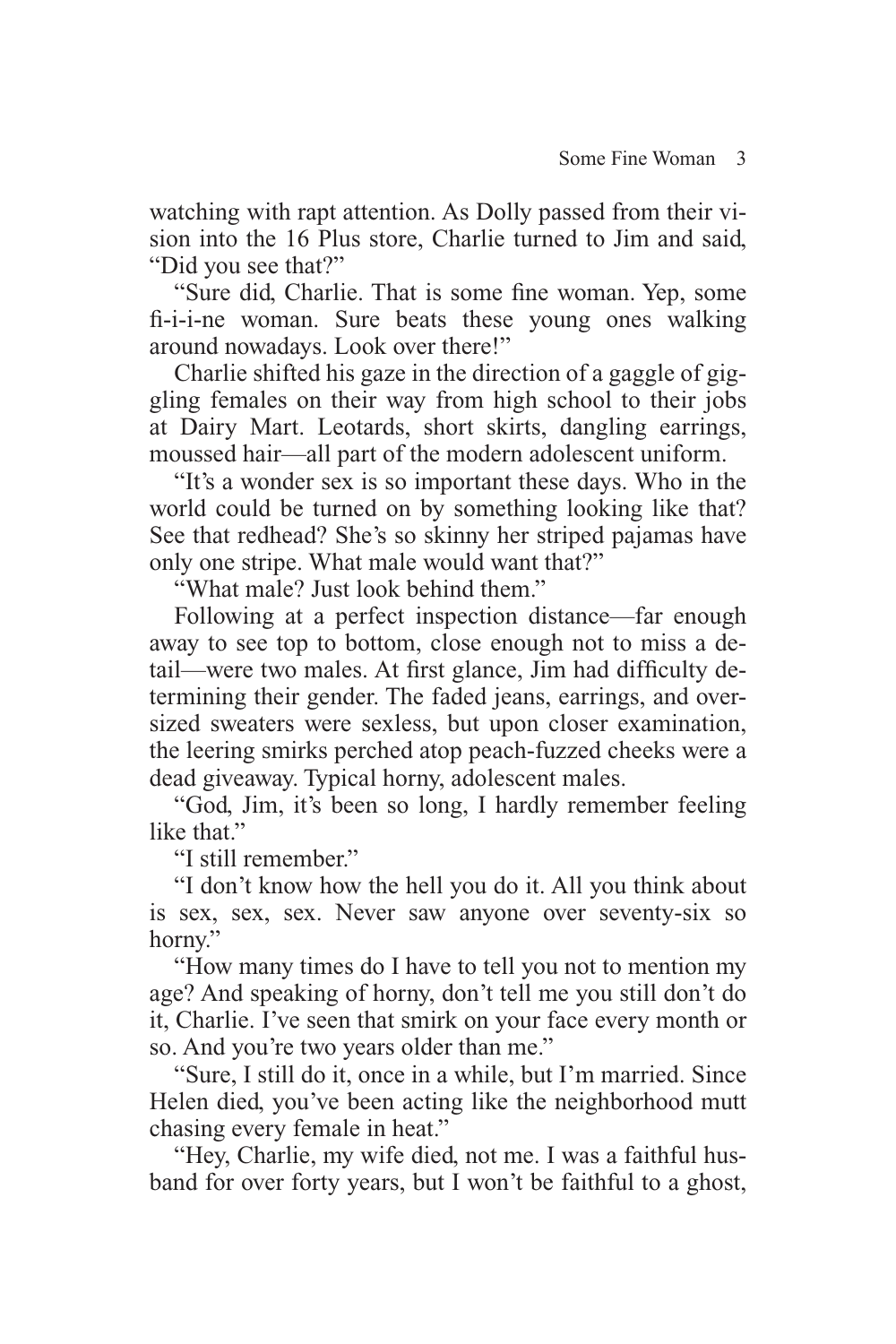watching with rapt attention. As Dolly passed from their vision into the 16 Plus store, Charlie turned to Jim and said, "Did you see that?"

"Sure did, Charlie. That is some fine woman. Yep, some fi -i-i-ne woman. Sure beats these young ones walking around nowadays. Look over there!"

Charlie shifted his gaze in the direction of a gaggle of giggling females on their way from high school to their jobs at Dairy Mart. Leotards, short skirts, dangling earrings, moussed hair—all part of the modern adolescent uniform.

"It's a wonder sex is so important these days. Who in the world could be turned on by something looking like that? See that redhead? She's so skinny her striped pajamas have only one stripe. What male would want that?"

"What male? Just look behind them."

Following at a perfect inspection distance—far enough away to see top to bottom, close enough not to miss a detail—were two males. At first glance, Jim had difficulty determining their gender. The faded jeans, earrings, and oversized sweaters were sexless, but upon closer examination, the leering smirks perched atop peach-fuzzed cheeks were a dead giveaway. Typical horny, adolescent males.

"God, Jim, it's been so long, I hardly remember feeling like that."

"I still remember."

"I don't know how the hell you do it. All you think about is sex, sex, sex. Never saw anyone over seventy-six so horny."

"How many times do I have to tell you not to mention my age? And speaking of horny, don't tell me you still don't do it, Charlie. I've seen that smirk on your face every month or so. And you're two years older than me."

"Sure, I still do it, once in a while, but I'm married. Since Helen died, you've been acting like the neighborhood mutt chasing every female in heat."

"Hey, Charlie, my wife died, not me. I was a faithful husband for over forty years, but I won't be faithful to a ghost,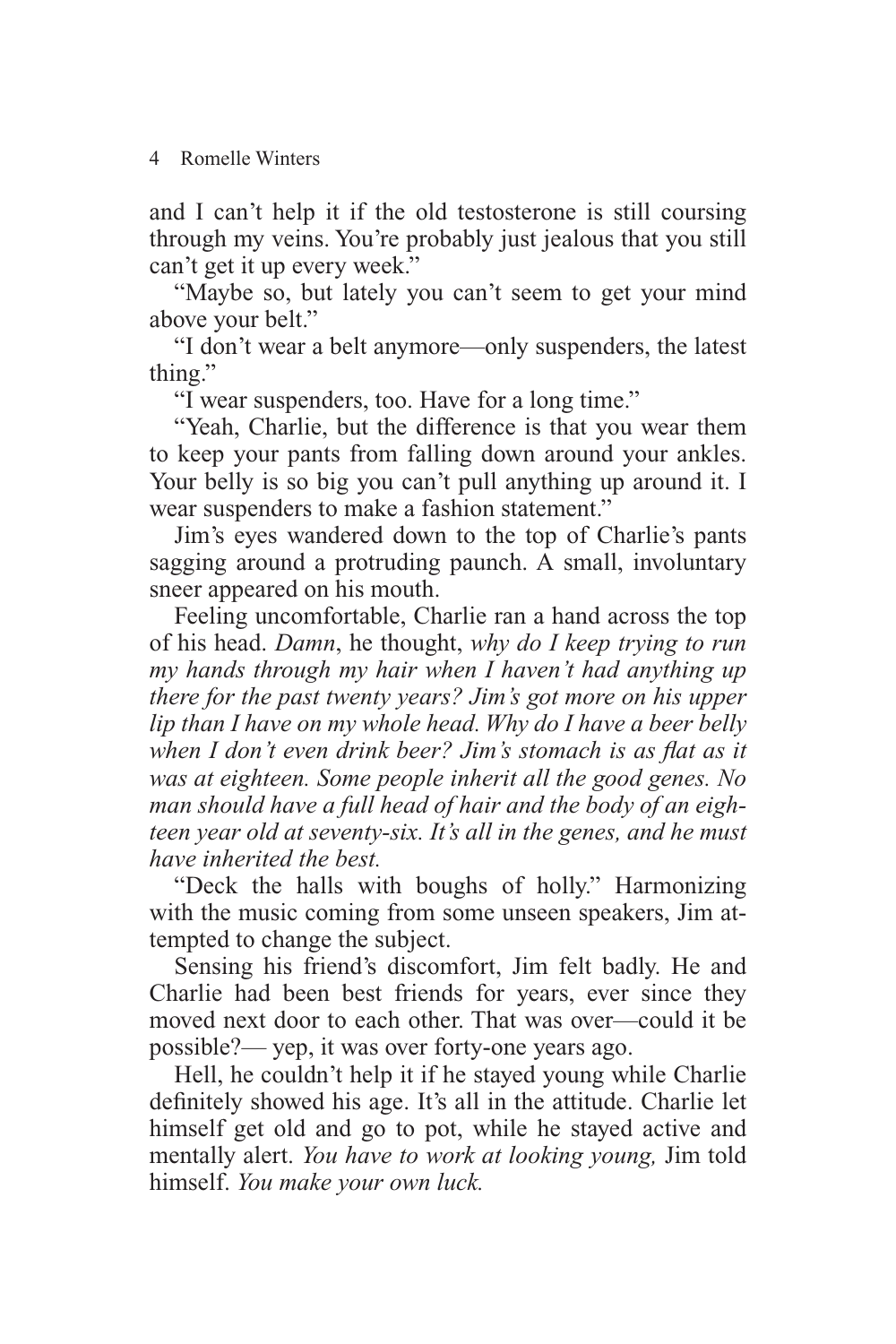4 Romelle Winters

and I can't help it if the old testosterone is still coursing through my veins. You're probably just jealous that you still can't get it up every week."

"Maybe so, but lately you can't seem to get your mind above your belt."

"I don't wear a belt anymore—only suspenders, the latest thing."

"I wear suspenders, too. Have for a long time."

"Yeah, Charlie, but the difference is that you wear them to keep your pants from falling down around your ankles. Your belly is so big you can't pull anything up around it. I wear suspenders to make a fashion statement."

Jim's eyes wandered down to the top of Charlie's pants sagging around a protruding paunch. A small, involuntary sneer appeared on his mouth.

Feeling uncomfortable, Charlie ran a hand across the top of his head. *Damn*, he thought, *why do I keep trying to run my hands through my hair when I haven't had anything up there for the past twenty years? Jim's got more on his upper lip than I have on my whole head. Why do I have a beer belly*  when I don't even drink beer? Jim's stomach is as flat as it *was at eighteen. Some people inherit all the good genes. No man should have a full head of hair and the body of an eighteen year old at seventy-six. It's all in the genes, and he must have inherited the best.*

"Deck the halls with boughs of holly." Harmonizing with the music coming from some unseen speakers, Jim attempted to change the subject.

Sensing his friend's discomfort, Jim felt badly. He and Charlie had been best friends for years, ever since they moved next door to each other. That was over—could it be possible?— yep, it was over forty-one years ago.

Hell, he couldn't help it if he stayed young while Charlie definitely showed his age. It's all in the attitude. Charlie let himself get old and go to pot, while he stayed active and mentally alert. *You have to work at looking young,* Jim told himself. *You make your own luck.*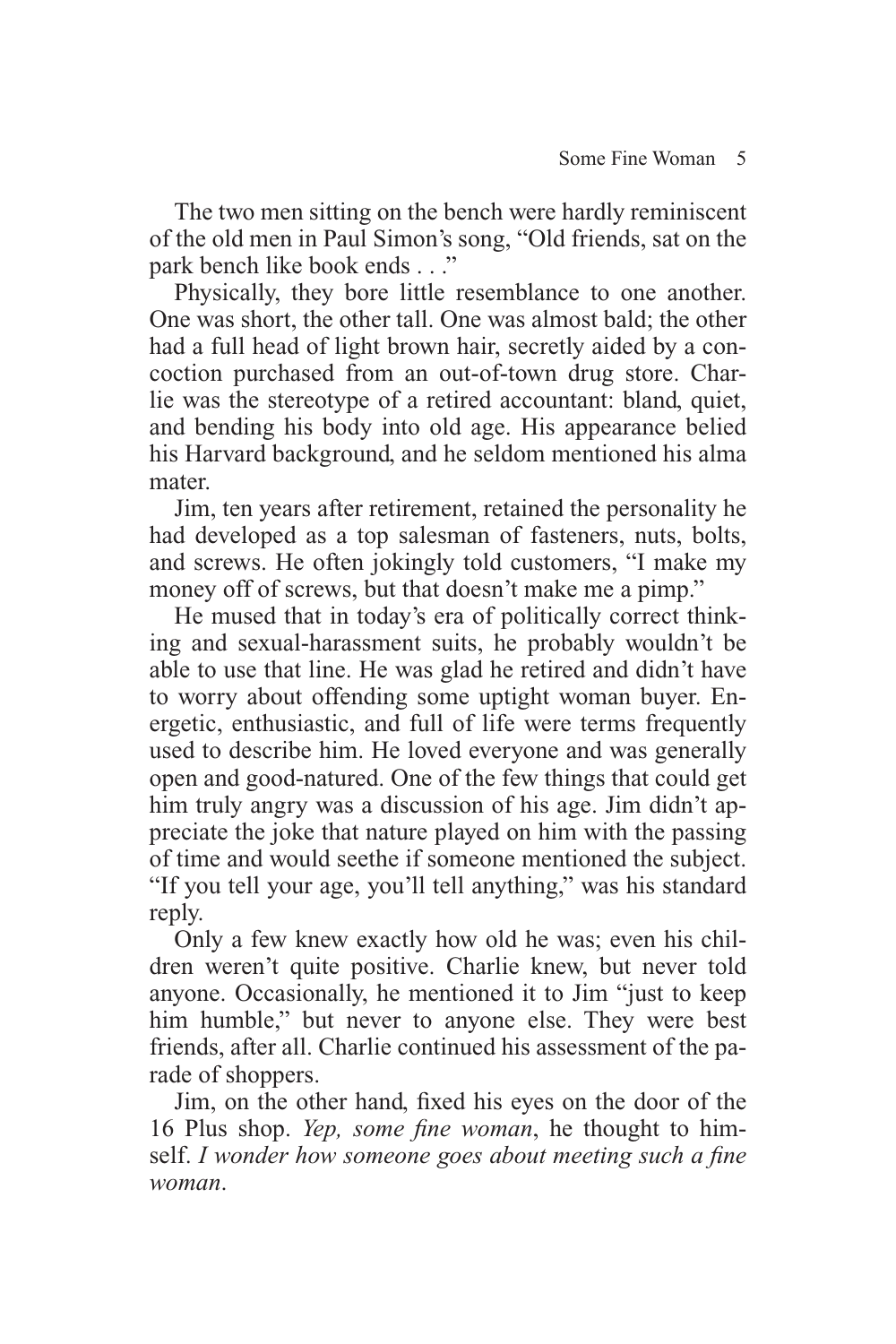The two men sitting on the bench were hardly reminiscent of the old men in Paul Simon's song, "Old friends, sat on the park bench like book ends . . ."

Physically, they bore little resemblance to one another. One was short, the other tall. One was almost bald; the other had a full head of light brown hair, secretly aided by a concoction purchased from an out-of-town drug store. Charlie was the stereotype of a retired accountant: bland, quiet, and bending his body into old age. His appearance belied his Harvard background, and he seldom mentioned his alma mater.

Jim, ten years after retirement, retained the personality he had developed as a top salesman of fasteners, nuts, bolts, and screws. He often jokingly told customers, "I make my money off of screws, but that doesn't make me a pimp."

He mused that in today's era of politically correct thinking and sexual-harassment suits, he probably wouldn't be able to use that line. He was glad he retired and didn't have to worry about offending some uptight woman buyer. Energetic, enthusiastic, and full of life were terms frequently used to describe him. He loved everyone and was generally open and good-natured. One of the few things that could get him truly angry was a discussion of his age. Jim didn't appreciate the joke that nature played on him with the passing of time and would seethe if someone mentioned the subject. "If you tell your age, you'll tell anything," was his standard reply.

Only a few knew exactly how old he was; even his children weren't quite positive. Charlie knew, but never told anyone. Occasionally, he mentioned it to Jim "just to keep him humble," but never to anyone else. They were best friends, after all. Charlie continued his assessment of the parade of shoppers.

Jim, on the other hand, fixed his eyes on the door of the 16 Plus shop. *Yep, some fine woman*, he thought to himself. *I wonder how someone goes about meeting such a fine woman*.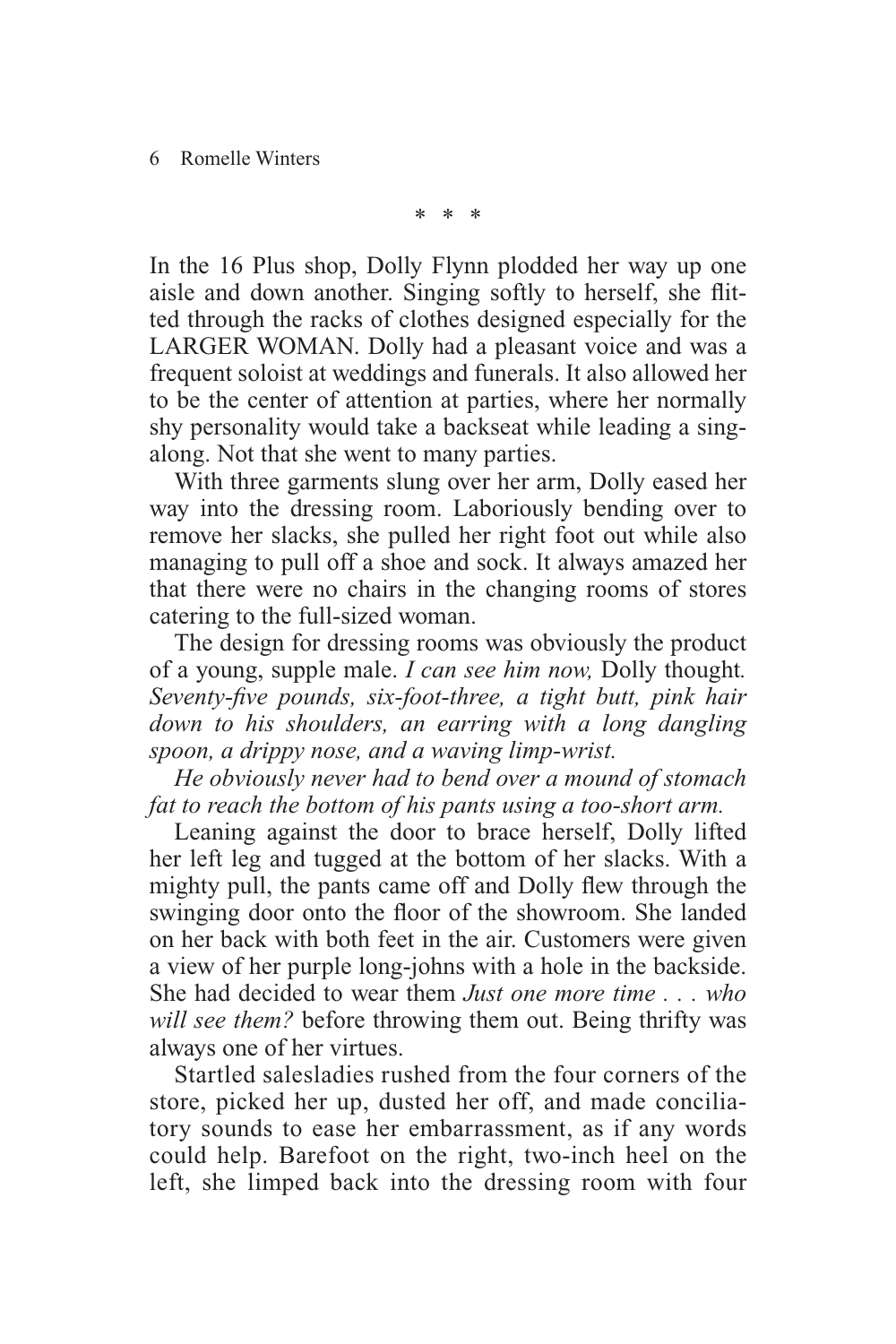\* \* \*

In the 16 Plus shop, Dolly Flynn plodded her way up one aisle and down another. Singing softly to herself, she flitted through the racks of clothes designed especially for the LARGER WOMAN. Dolly had a pleasant voice and was a frequent soloist at weddings and funerals. It also allowed her to be the center of attention at parties, where her normally shy personality would take a backseat while leading a singalong. Not that she went to many parties.

With three garments slung over her arm, Dolly eased her way into the dressing room. Laboriously bending over to remove her slacks, she pulled her right foot out while also managing to pull off a shoe and sock. It always amazed her that there were no chairs in the changing rooms of stores catering to the full-sized woman.

The design for dressing rooms was obviously the product of a young, supple male. *I can see him now,* Dolly thought*.*  Seventy-five pounds, six-foot-three, a tight butt, pink hair *down to his shoulders, an earring with a long dangling spoon, a drippy nose, and a waving limp-wrist.*

*He obviously never had to bend over a mound of stomach fat to reach the bottom of his pants using a too-short arm.*

Leaning against the door to brace herself, Dolly lifted her left leg and tugged at the bottom of her slacks. With a mighty pull, the pants came off and Dolly flew through the swinging door onto the floor of the showroom. She landed on her back with both feet in the air. Customers were given a view of her purple long-johns with a hole in the backside. She had decided to wear them *Just one more time . . . who will see them?* before throwing them out. Being thrifty was always one of her virtues.

Startled salesladies rushed from the four corners of the store, picked her up, dusted her off, and made conciliatory sounds to ease her embarrassment, as if any words could help. Barefoot on the right, two-inch heel on the left, she limped back into the dressing room with four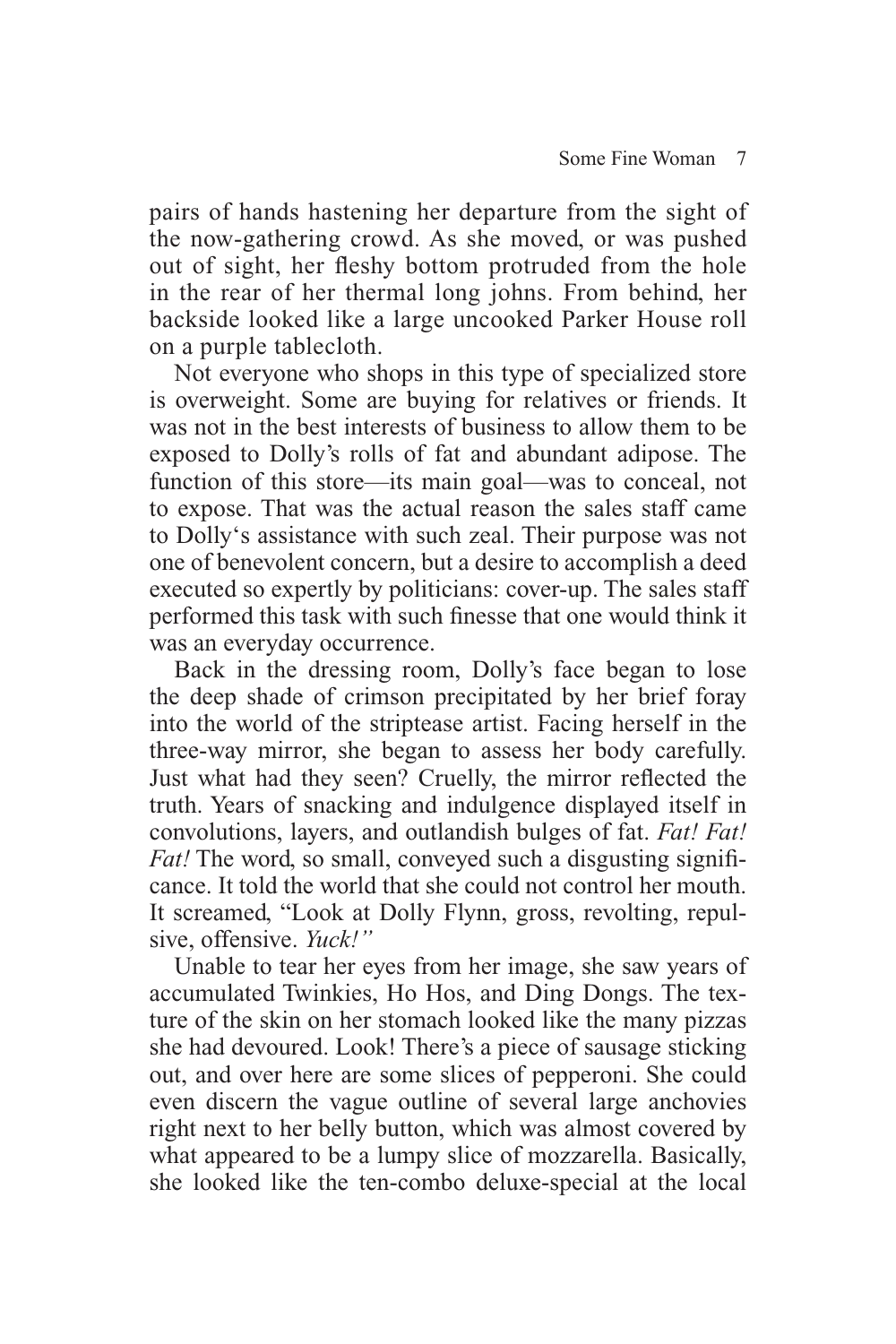pairs of hands hastening her departure from the sight of the now-gathering crowd. As she moved, or was pushed out of sight, her fleshy bottom protruded from the hole in the rear of her thermal long johns. From behind, her backside looked like a large uncooked Parker House roll on a purple tablecloth.

Not everyone who shops in this type of specialized store is overweight. Some are buying for relatives or friends. It was not in the best interests of business to allow them to be exposed to Dolly's rolls of fat and abundant adipose. The function of this store—its main goal—was to conceal, not to expose. That was the actual reason the sales staff came to Dolly's assistance with such zeal. Their purpose was not one of benevolent concern, but a desire to accomplish a deed executed so expertly by politicians: cover-up. The sales staff performed this task with such finesse that one would think it was an everyday occurrence.

Back in the dressing room, Dolly's face began to lose the deep shade of crimson precipitated by her brief foray into the world of the striptease artist. Facing herself in the three-way mirror, she began to assess her body carefully. Just what had they seen? Cruelly, the mirror reflected the truth. Years of snacking and indulgence displayed itself in convolutions, layers, and outlandish bulges of fat. *Fat! Fat! Fat!* The word, so small, conveyed such a disgusting significance. It told the world that she could not control her mouth. It screamed, "Look at Dolly Flynn, gross, revolting, repulsive, offensive. *Yuck!"*

Unable to tear her eyes from her image, she saw years of accumulated Twinkies, Ho Hos, and Ding Dongs. The texture of the skin on her stomach looked like the many pizzas she had devoured. Look! There's a piece of sausage sticking out, and over here are some slices of pepperoni. She could even discern the vague outline of several large anchovies right next to her belly button, which was almost covered by what appeared to be a lumpy slice of mozzarella. Basically, she looked like the ten-combo deluxe-special at the local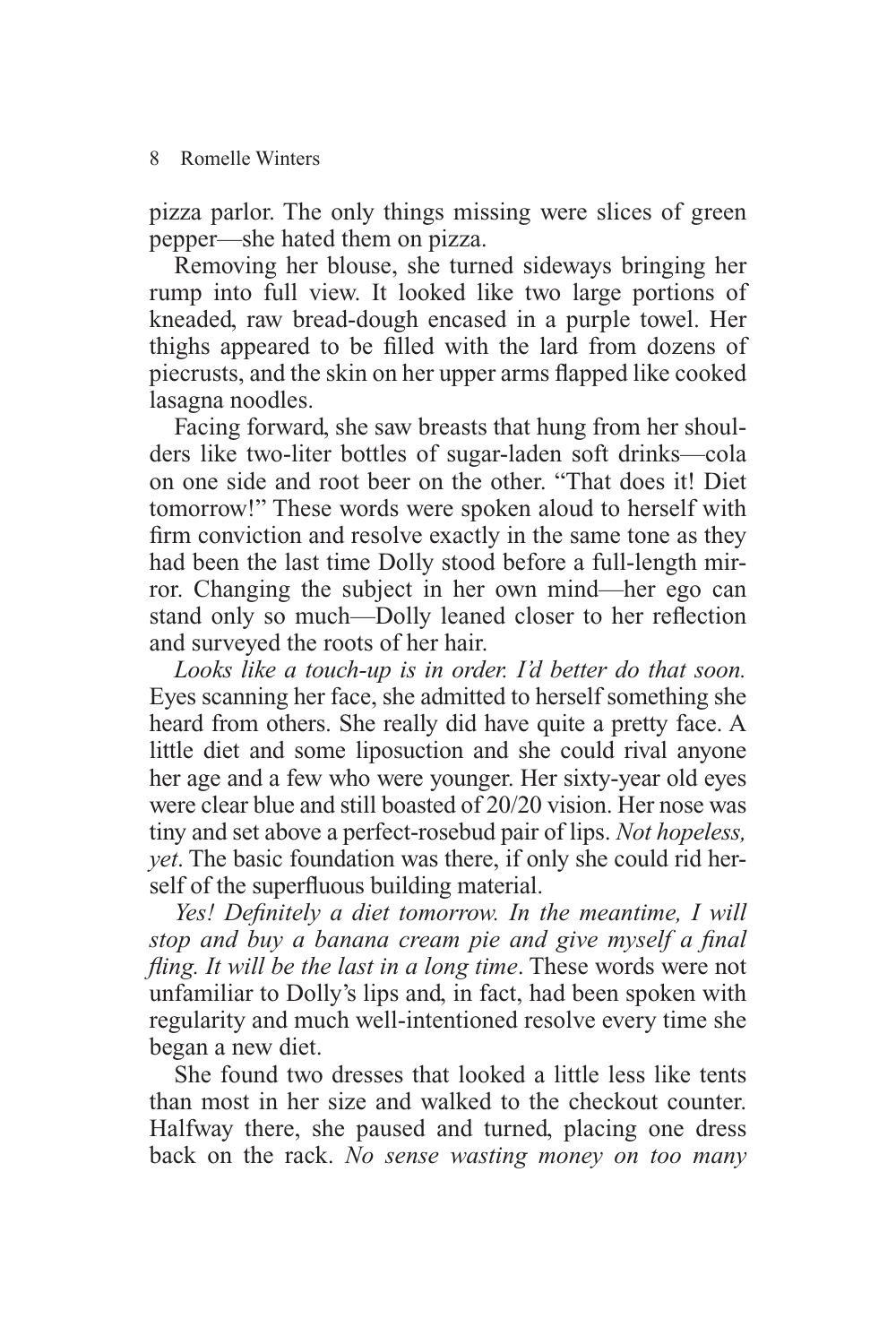#### 8 Romelle Winters

pizza parlor. The only things missing were slices of green pepper—she hated them on pizza.

Removing her blouse, she turned sideways bringing her rump into full view. It looked like two large portions of kneaded, raw bread-dough encased in a purple towel. Her thighs appeared to be filled with the lard from dozens of piecrusts, and the skin on her upper arms flapped like cooked lasagna noodles.

Facing forward, she saw breasts that hung from her shoulders like two-liter bottles of sugar-laden soft drinks—cola on one side and root beer on the other. "That does it! Diet tomorrow!" These words were spoken aloud to herself with firm conviction and resolve exactly in the same tone as they had been the last time Dolly stood before a full-length mirror. Changing the subject in her own mind—her ego can stand only so much—Dolly leaned closer to her reflection and surveyed the roots of her hair.

*Looks like a touch-up is in order. I'd better do that soon.* Eyes scanning her face, she admitted to herself something she heard from others. She really did have quite a pretty face. A little diet and some liposuction and she could rival anyone her age and a few who were younger. Her sixty-year old eyes were clear blue and still boasted of 20/20 vision. Her nose was tiny and set above a perfect-rosebud pair of lips. *Not hopeless, yet*. The basic foundation was there, if only she could rid herself of the superfluous building material.

Yes! Definitely a diet tomorrow. In the meantime, I will stop and buy a banana cream pie and give myself a final *fling. It will be the last in a long time.* These words were not unfamiliar to Dolly's lips and, in fact, had been spoken with regularity and much well-intentioned resolve every time she began a new diet.

She found two dresses that looked a little less like tents than most in her size and walked to the checkout counter. Halfway there, she paused and turned, placing one dress back on the rack. *No sense wasting money on too many*